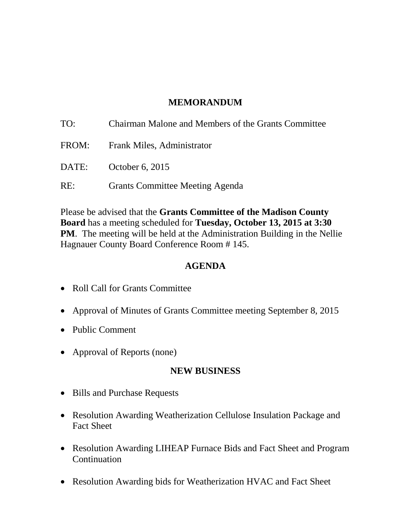## **MEMORANDUM**

| TO:   | Chairman Malone and Members of the Grants Committee |
|-------|-----------------------------------------------------|
| FROM: | <b>Frank Miles, Administrator</b>                   |
|       | DATE: October 6, 2015                               |
| RE:   | <b>Grants Committee Meeting Agenda</b>              |

Please be advised that the **Grants Committee of the Madison County Board** has a meeting scheduled for **Tuesday, October 13, 2015 at 3:30 PM**. The meeting will be held at the Administration Building in the Nellie Hagnauer County Board Conference Room # 145.

### **AGENDA**

- Roll Call for Grants Committee
- Approval of Minutes of Grants Committee meeting September 8, 2015
- Public Comment
- Approval of Reports (none)

#### **NEW BUSINESS**

- Bills and Purchase Requests
- Resolution Awarding Weatherization Cellulose Insulation Package and Fact Sheet
- Resolution Awarding LIHEAP Furnace Bids and Fact Sheet and Program Continuation
- Resolution Awarding bids for Weatherization HVAC and Fact Sheet